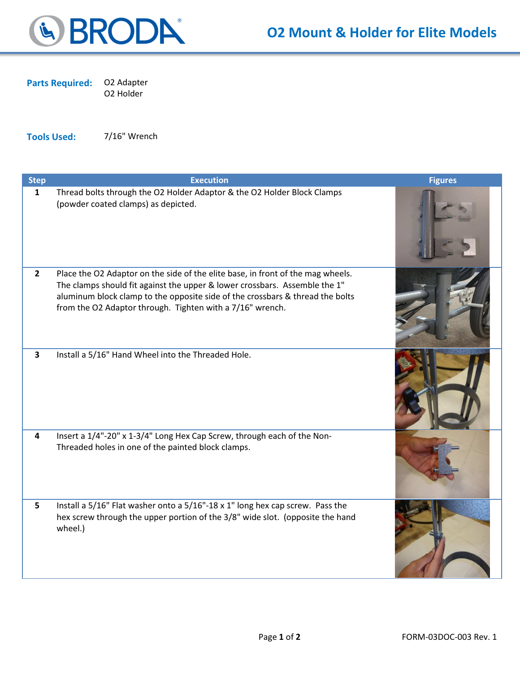

Parts Required: O2 Adapter O2 Holder

Tools Used: 7/16" Wrench

| <b>Step</b>             | <b>Execution</b>                                                                                                                                                                                                                                                                                            | <b>Figures</b> |
|-------------------------|-------------------------------------------------------------------------------------------------------------------------------------------------------------------------------------------------------------------------------------------------------------------------------------------------------------|----------------|
| $\mathbf{1}$            | Thread bolts through the O2 Holder Adaptor & the O2 Holder Block Clamps<br>(powder coated clamps) as depicted.                                                                                                                                                                                              |                |
| $\overline{2}$          | Place the O2 Adaptor on the side of the elite base, in front of the mag wheels.<br>The clamps should fit against the upper & lower crossbars. Assemble the 1"<br>aluminum block clamp to the opposite side of the crossbars & thread the bolts<br>from the O2 Adaptor through. Tighten with a 7/16" wrench. |                |
| $\overline{\mathbf{3}}$ | Install a 5/16" Hand Wheel into the Threaded Hole.                                                                                                                                                                                                                                                          |                |
| $\overline{\mathbf{4}}$ | Insert a 1/4"-20" x 1-3/4" Long Hex Cap Screw, through each of the Non-<br>Threaded holes in one of the painted block clamps.                                                                                                                                                                               |                |
| 5 <sup>1</sup>          | Install a 5/16" Flat washer onto a 5/16"-18 x 1" long hex cap screw. Pass the<br>hex screw through the upper portion of the 3/8" wide slot. (opposite the hand<br>wheel.)                                                                                                                                   |                |